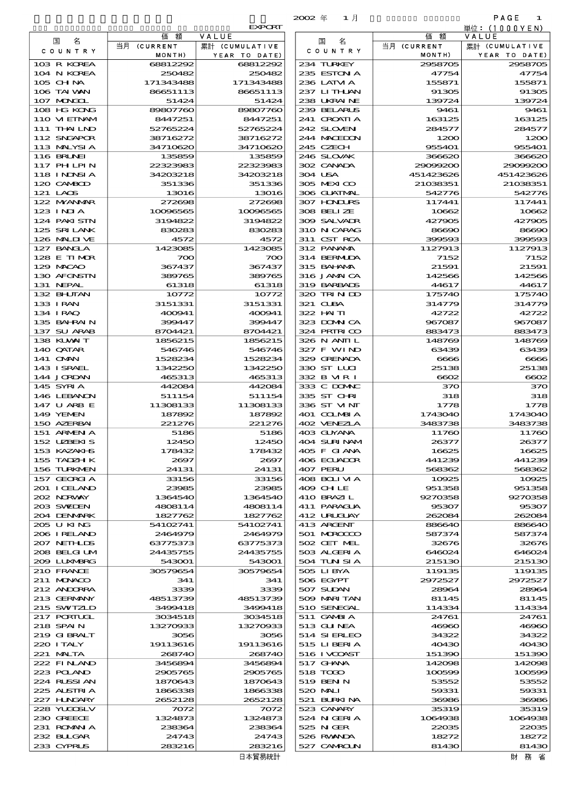|                             |                      |                        | $2002 \text{ } \#$<br>1月   |                       | PAGE<br>1             |
|-----------------------------|----------------------|------------------------|----------------------------|-----------------------|-----------------------|
|                             | 価<br>額               | <b>EXPORT</b><br>VALUE |                            | 価額                    | 単位: (1000 Y E N)      |
| 名<br>国                      | 当月 (CURRENT          | 累計 (CUMULATIVE         | 名<br>国                     | 当月 (CURRENT           | VALUE                 |
| COUNTRY                     | MONTH)               | YEAR TO DATE)          | C O U N T R Y              | MONTH)                | YEAR TO DATE)         |
| 103 R KOREA                 | 68812292             | 68812292               | 234 TURKEY                 | 2958705               | 2958705               |
| 104 N KOREA<br>105 CHNA     | 250482<br>171343488  | 250482<br>171343488    | 235 ESTON A<br>236 LATM A  | 47754<br>155871       | 47754<br>155871       |
| 106 TAI WAN                 | 86651113             | 86651113               | 237 LITHAN                 | 91305                 | 91305                 |
| 107 MONGOL                  | 51424                | 51424                  | 238 UKRAINE                | 139724                | 139724                |
| 108 HG KONG                 | 89807760             | 89807760               | 239 BELARUS                | 9461                  | 9461                  |
| 110 VIETNAM<br>111 THAILND  | 8447251<br>52765224  | 8447251<br>52765224    | 241 CROATIA<br>242 SLOVENI | 163125<br>284577      | 163125<br>284577      |
| 112 SNGAPOR                 | 38716272             | 38716272               | 244 MACEDON                | 1200                  | 1200                  |
| 113 MALYSIA                 | 34710620             | 34710620               | 245 CZECH                  | 955401                | 955401                |
| 116 BRUNEI                  | 135859               | 135859                 | 246 SLOVAK                 | 366620                | 366620                |
| 117 PHLPIN<br>118 I NDNSI A | 22323983<br>34203218 | 22323983<br>34203218   | 302 CANADA<br>304 USA      | 29099200<br>451423626 | 29099200<br>451423626 |
| 120 CAMBOD                  | 351336               | 351336                 | 305 MEXICO                 | 21038351              | 21038351              |
| 121 LAOS                    | 13016                | 13016                  | 306 GUATMAL                | 542776                | 542776                |
| 122 NYANAR                  | 272698               | 272698                 | 307 HONDURS                | 117441                | 117441                |
| 123 INJA<br>124 PAKI STN    | 10096565<br>3194822  | 10096565<br>3194822    | 308 BELIZE<br>309 SALVADR  | 10662<br>427905       | 10662<br>427905       |
| 125 SRILANK                 | 830283               | 830283                 | 310 N CARAG                | 86690                 | 86690                 |
| 126 MALINE                  | 4572                 | 4572                   | 311 CST RCA                | 399593                | 399593                |
| 127 BANCLA                  | 1423085              | 1423085                | 312 PANAMA                 | 1127913               | 1127913               |
| 128 E TIMOR<br>129 MACAO    | 700<br>367437        | 700<br>367437          | 314 BERMUDA<br>315 BAHAMA  | 7152<br>21591         | 7152<br>21591         |
| 130 AFGNSTN                 | 389765               | 389765                 | 316 JAMAICA                | 142566                | 142566                |
| 131 NEPAL                   | 61318                | 61318                  | 319 BARBADS                | 44617                 | 44617                 |
| 132 BHUTAN                  | 10772                | 10772                  | 320 TRINDO                 | 175740                | 175740                |
| 133 IRAN<br>134 I RAQ       | 3151331<br>400941    | 3151331<br>400941      | 321 CUBA<br>322 HAITI      | 314779<br>42722       | 314779<br>42722       |
| 135 BAHRAIN                 | 399447               | 399447                 | 323 DOWN CA                | 967087                | 967087                |
| 137 SU ARAB                 | 8704421              | 8704421                | 324 PRIRICO                | 883473                | 883473                |
| 138 KUWAIT                  | 1856215              | 1856215                | 326 N ANII L               | 148769                | 148769                |
| 140 QATAR<br>141 CMN        | 546746<br>1528234    | 546746<br>1528234      | 327 F WIND<br>329 GRENADA  | 63439<br>6666         | 63439<br>6666         |
| 143 ISRAEL                  | 1342250              | 1342250                | 330 ST LUI                 | 25138                 | 25138                 |
| 144 JORDAN                  | 465313               | 465313                 | 332 B MR I                 | 6602                  | 6602                  |
| 145 SYRIA                   | 442084               | 442084                 | 333 C DOMIC                | 370                   | 370                   |
| 146 LEBANON<br>147 U ARB E  | 511154<br>11308133   | 511154<br>11308133     | 335 ST CHRI<br>336 ST VINT | 318<br>1778           | 318<br>1778           |
| 149 YEMEN                   | 187892               | 187892                 | 401 COLMBIA                | 1743040               | 1743040               |
| 150 AZERBAI                 | 221276               | 221276                 | 402 VENEZIA                | 3483738               | 3483738               |
| 151 ARMEN A<br>152 UZBEKIS  | 5186<br>12450        | 5186<br>12450          | 403 GUYANA<br>404 SURINAM  | 11760<br>26377        | 11760<br>26377        |
| 153 KAZAKHS                 | 178432               | 178432                 | 405 F GIANA                | 16625                 | 16625                 |
| 155 TADZH K                 | 2697                 | 2697                   | 406 ECUADOR                | 441239                | 441239                |
| 156 TURKMEN                 | 24131                | 24131                  | 407 PERU                   | 568362                | 568362                |
| 157 GEORGIA<br>201 ICELAND  | 33156<br>23985       | 33156<br>23985         | 408 BOLI VI A<br>409 CH LE | 10925<br>951358       | 10925<br>951358       |
| 202 N.R.WAY                 | 1364540              | 1364540                | 410 BRAZIL                 | 9270358               | 9270358               |
| 203 SWIDEN                  | 4808114              | 4808114                | 411 PARAGUA                | 95307                 | 95307                 |
| 204 DENMARK                 | 1827762              | 1827762                | 412 URUGUAY                | 262084                | 262084                |
| 205 U KING<br>206 I RELAND  | 54102741<br>2464979  | 54102741<br>2464979    | 413 ARGENT<br>501 MROCCO   | 886640<br>587374      | 886640<br>587374      |
| 207 NETHLIS                 | 63775373             | 63775373               | 502 CET MEL                | 32676                 | 32676                 |
| 208 BELGI UM                | 24435755             | 24435755               | 503 ALGERIA                | 646024                | 646024                |
| 200 LUNABRG<br>210 FRANCE   | 543001<br>30579654   | 543001<br>30579654     | 504 TUN SI A<br>505 LIBYA  | 215130<br>119135      | 215130<br>119135      |
| 211 MUNACO                  | 341                  | 341                    | 506 EGYPT                  | 2972527               | 2972527               |
| 212 ANDORRA                 | 3339                 | 3339                   | 507 SUDAN                  | 28964                 | 28964                 |
| 213 GERMANY                 | 48513739             | 48513739               | 509 MARITAN                | 81145                 | 81145                 |
| 215 SWIZLD<br>217 PORTUGL   | 3499418<br>3034518   | 3499418<br>3034518     | 510 SENEGAL<br>511 GAMBIA  | 114334<br>24761       | 114334<br>24761       |
| 218 SPAIN                   | 13270933             | 13270933               | 513 GUNEA                  | 46960                 | 46960                 |
| 219 GIBRALT                 | 3056                 | 3056                   | 514 SIERLEO                | 34322                 | 34322                 |
| 220 I TALY                  | 19113616             | 19113616               | 515 LIBERTA                | 40430                 | 40430                 |
| 221 MALTA<br>222 FINAND     | 268740<br>3456894    | 268740<br>3456894      | 516 I VCOAST<br>517 GHNA   | 151390<br>142098      | 151390<br>142098      |
| 223 POLAND                  | 2905765              | 2905765                | 518 TODO                   | 100599                | 100599                |
| 224 RUSSI AN                | 1870643              | 1870643                | 519 BEN N                  | 53552                 | 53552                 |
| 225 ALSTRIA                 | 1866338              | 1866338                | 520 MALI                   | 59331                 | 59331                 |
| 227 HUNGARY<br>228 YUGOSLV  | 2652128<br>7072      | 2652128<br>7072        | 521 BURKINA<br>523 CANARY  | 36986<br>35319        | 36986<br>35319        |
| 230 GREECE                  | 1324873              | 1324873                | 524 N GERIA                | 1064938               | 1064938               |
| 231 ROMANIA                 | 238364               | 238364                 | 525 N GER                  | 22035                 | 22035                 |
| 232 BULGAR<br>233 CYPRUS    | 24743<br>283216      | 24743<br>283216        | 526 RWANDA<br>527 CAMROLN  | 18272<br>81430        | 18272<br>81430        |
|                             |                      |                        |                            |                       |                       |

|                             |                      | <b>EXPORT</b>        |
|-----------------------------|----------------------|----------------------|
| 国<br>名                      | 額<br>価               | VALUE                |
| C O U N T R Y               | 当月 (CURRENT          | 累計 (CUMULATIVE       |
|                             | MONTH)               | YEAR TO DATE)        |
| 103 R KOREA<br>104 N KOREA  | 68812292<br>250482   | 68812292<br>250482   |
| 105 CHNA                    | 171343488            | 171343488            |
| 106 TAI VAN                 | 86651113             | 86651113             |
| 107 MAGAL                   | 51424                | 51424                |
| 108 HG KONG                 | 89807760             | 89807760             |
| 110 VIEINAM                 | 8447251              | 8447251              |
| 111 THAILND                 | 52765224             | 52765224             |
| 112 SNGAPOR<br>113 MALYSIA  | 38716272<br>34710620 | 38716272<br>34710620 |
| <b>116 BRUNEI</b>           | 135859               | 135859               |
| 117 PHLPIN                  | 22323983             | 22323983             |
| 118 I NDNSI A               | 34203218             | 34203218             |
| 120 CAMBOD                  | 351336               | 351336               |
| 121 LAOS                    | 13016                | 13016                |
| 122 MYANMAR                 | 272698               | 272698               |
| $123$ INIA                  | 10096565             | 10096565             |
| 124 PAKISTN<br>125 SRILANK  | 3194822              | 3194822<br>830283    |
| 126 MALINE                  | 830283<br>4572       | 4572                 |
| 127 BANCLA                  | 1423085              | 1423085              |
| 128 E TIMOR                 | 700                  | $\infty$             |
| 129 MACAO                   | 367437               | 367437               |
| 130 AFGNSTN                 | 389765               | 389765               |
| 131 NEPAL                   | 61318                | 61318                |
| 132 BHUTAN                  | 10772                | 10772                |
| 133 IRAN                    | 3151331              | 3151331              |
| 134 IRAQ<br>135 BAHRAIN     | 400941<br>399447     | 400941<br>399447     |
| 137 SU ARAB                 | 8704421              | 8704421              |
| 138 KUWAIT                  | 1856215              | 1856215              |
| 140 QATAR                   | 546746               | 546746               |
| 141 OMN                     | 1528234              | 1528234              |
| 143 I SRAEL                 | 1342250              | 1342250              |
| 144 JORDAN                  | 465313               | 465313               |
| 145 SYRIA<br>146 LEBANON    | 442084<br>511154     | 442084<br>511154     |
| 147 U ARB E                 | 11308133             | 11308133             |
| 149 YEMEN                   | 187892               | 187892               |
| 150 AZERBAI                 | 221276               | 221276               |
| 151 ARMENIA                 | 5186                 | 5186                 |
| 152 UZBEKIS                 | 12450                | 12450                |
| 153 KAZAKI-S                | 178432               | 178432               |
| 155 TADZH K                 | 2697                 | 2697                 |
| 156 TURKMEN<br>157 GEORGIA  | 24131<br>33156       | 24131<br>33156       |
| 201 I CELAND                | 23985                | 23985                |
| 202 NORWAY                  | 1364540              | 1364540              |
| 203 SWIDEN                  | 4808114              | 4808114              |
| 204 DENMARK                 | 1827762              | 1827762              |
| 205 U KING                  | 54102741             | 54102741             |
| 206 I RELAND                | 2464979              | 2464979              |
| 207 NETHLIS<br>208 BELGI UM | 63775373<br>24435755 | 63775373<br>24435755 |
| 2009 LUNABRG                | 543001               | 543001               |
| 210 FRANCE                  | 30579654             | 30579654             |
| 211 MUNACO                  | 341                  | 341                  |
| 212 ANDORRA                 | 3339                 | 3339                 |
| 213 GERMANY                 | 48513739             | 48513739             |
| 215 SWIZLD                  | 3499418              | 3499418              |
| 217 PORTUGL                 | 3034518              | 3034518              |
| 218 SPAIN<br>219 GIBRALT    | 13270933<br>3056     | 13270933<br>3056     |
| 220 ITALY                   | 19113616             | 19113616             |
| 221 MALTA                   | 268740               | 268740               |
| 222 FINLAND                 | 3456894              | 3456894              |
| 223 POLAND                  | 2905765              | 2905765              |
| 224 RUSSI AN                | 1870643              | 1870643              |
| 225 ALSTRIA                 | 1866338              | 1866338              |
| 227 HNGARY                  | 2652128              | 2652128              |
| 228 YUQOSLV<br>230 GREECE   | 7072<br>1324873      | 7072<br>1324873      |
| 231 ROMAN A                 | 238364               | 238364               |
| 232 BLLGAR                  | 24743                | 24743                |
| 233 CYPRUS                  | 283216               | 283216               |
|                             |                      | 日本貿易統計               |
|                             |                      |                      |